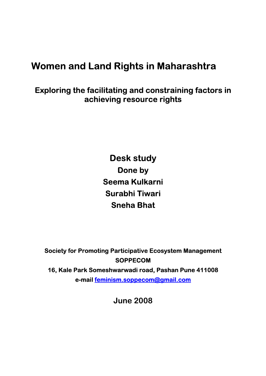# **Women and Land Rights in Maharashtra**

## **Exploring the facilitating and constraining factors in achieving resource rights**

**Desk study Done by Seema Kulkarni Surabhi Tiwari Sneha Bhat** 

**Society for Promoting Participative Ecosystem Management SOPPECOM 16, Kale Park Someshwarwadi road, Pashan Pune 411008 e-mail feminism.soppecom@gmail.com** 

**June 2008**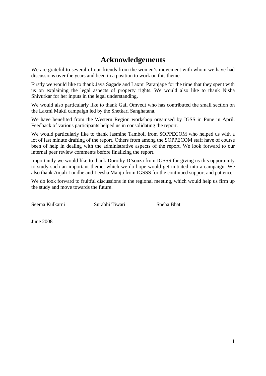## **Acknowledgements**

We are grateful to several of our friends from the women's movement with whom we have had discussions over the years and been in a position to work on this theme.

Firstly we would like to thank Jaya Sagade and Laxmi Paranjape for the time that they spent with us on explaining the legal aspects of property rights. We would also like to thank Nisha Shivurkar for her inputs in the legal understanding.

We would also particularly like to thank Gail Omvedt who has contributed the small section on the Laxmi Mukti campaign led by the Shetkari Sanghatana.

We have benefited from the Western Region workshop organised by IGSS in Pune in April. Feedback of various participants helped us in consolidating the report.

We would particularly like to thank Jasmine Tamboli from SOPPECOM who helped us with a lot of last minute drafting of the report. Others from among the SOPPECOM staff have of course been of help in dealing with the administrative aspects of the report. We look forward to our internal peer review comments before finalizing the report.

Importantly we would like to thank Dorothy D'souza from IGSSS for giving us this opportunity to study such an important theme, which we do hope would get initiated into a campaign. We also thank Anjali Londhe and Leesha Manju from IGSSS for the continued support and patience.

We do look forward to fruitful discussions in the regional meeting, which would help us firm up the study and move towards the future.

Seema Kulkarni Surabhi Tiwari Sneha Bhat

June 2008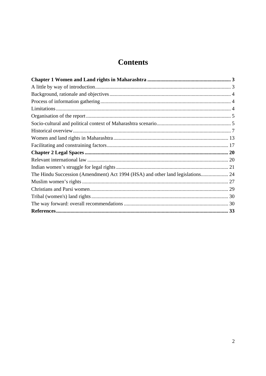## **Contents**

| The Hindu Succession (Amendment) Act 1994 (HSA) and other land legislations 24 |  |
|--------------------------------------------------------------------------------|--|
|                                                                                |  |
|                                                                                |  |
|                                                                                |  |
|                                                                                |  |
|                                                                                |  |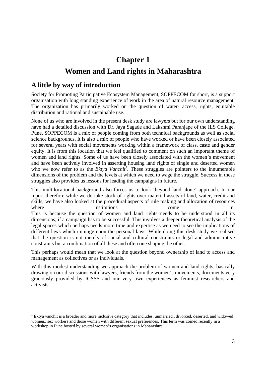# **Chapter 1 Women and Land rights in Maharashtra**

## **A little by way of introduction**

-

Society for Promoting Participative Ecosystem Management, SOPPECOM for short, is a support organisation with long standing experience of work in the area of natural resource management. The organization has primarily worked on the question of water- access, rights, equitable distribution and rational and sustainable use.

None of us who are involved in the present desk study are lawyers but for our own understanding have had a detailed discussion with Dr, Jaya Sagade and Lakshmi Paranjape of the ILS College, Pune. SOPPECOM is a mix of people coming from both technical backgrounds as well as social science backgrounds. It is also a mix of people who have worked or have been closely associated for several years with social movements working within a framework of class, caste and gender equity. It is from this location that we feel qualified to comment on such an important theme of women and land rights. Some of us have been closely associated with the women's movement and have been actively involved in asserting housing land rights of single and deserted women who we now refer to as the *Ektya Vanchit<sup>1</sup>*. These struggles are pointers to the innumerable dimensions of the problem and the levels at which we need to wage the struggle. Success in these struggles also provides us lessons for leading the campaigns in future.

This multilocational background also forces us to look 'beyond land alone' approach. In our report therefore while we do take stock of rights over material assets of land, water, credit and skills, we have also looked at the procedural aspects of rule making and allocation of resources where institutions come in. This is because the question of women and land rights needs to be understood in all its dimensions, if a campaign has to be successful. This involves a deeper theoretical analysis of the legal spaces which perhaps needs more time and expertise as we need to see the implications of different laws which impinge upon the personal laws. While doing this desk study we realised that the question is not merely of social and cultural constraints or legal and administrative constraints but a combination of all these and often one shaping the other.

This perhaps would mean that we look at the question beyond ownership of land to access and management as collectives or as individuals.

With this modest understanding we approach the problem of women and land rights, basically drawing on our discussions with lawyers, friends from the women's movements, documents very graciously provided by IGSSS and our very own experiences as feminist researchers and activists.

<sup>&</sup>lt;sup>1</sup> Ektya vanchit is a broader and more inclusive category that includes, unmarried,, divorced, deserted, and widowed women,, sex workers and those women with different sexual preferences. This term was coined recently in a workshop in Pune hosted by several women's organisations in Maharashtra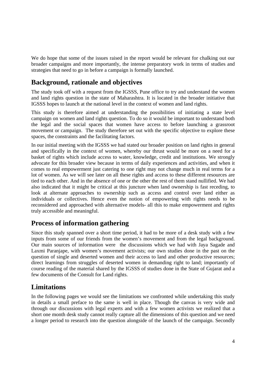We do hope that some of the issues raised in the report would be relevant for chalking out our broader campaigns and more importantly, the intense preparatory work in terms of studies and strategies that need to go in before a campaign is formally launched.

## **Background, rationale and objectives**

The study took off with a request from the IGSSS, Pune office to try and understand the women and land rights question in the state of Maharashtra. It is located in the broader initiative that IGSSS hopes to launch at the national level in the context of women and land rights.

This study is therefore aimed at understanding the possibilities of initiating a state level campaign on women and land rights question. To do so it would be important to understand both the legal and the social spaces that women have access to before launching a grassroot movement or campaign. The study therefore set out with the specific objective to explore these spaces, the constraints and the facilitating factors.

In our initial meeting with the IGSSS we had stated our broader position on land rights in general and specifically in the context of women, whereby our thrust would be more on a need for a basket of rights which include access to water, knowledge, credit and institutions. We strongly advocate for this broader view because in terms of daily experiences and activities, and when it comes to real empowerment just catering to one right may not change much in real terms for a lot of women. As we will see later on all these rights and access to these different resources are tied to each other. And in the absence of one or the other the rest of them stand nullified. We had also indicated that it might be critical at this juncture when land ownership is fast receding, to look at alternate approaches to ownership such as access and control over land either as individuals or collectives. Hence even the notion of empowering with rights needs to be reconsidered and approached with alternative models- all this to make empowerment and rights truly accessible and meaningful.

## **Process of information gathering**

Since this study spanned over a short time period, it had to be more of a desk study with a few inputs from some of our friends from the women's movement and from the legal background. Our main sources of information were the discussions which we had with Jaya Sagade and Laxmi Paranjape, with women's movement activists; our own studies done in the past on the question of single and deserted women and their access to land and other productive resources; direct learnings from struggles of deserted women in demanding right to land; importantly of course reading of the material shared by the IGSSS of studies done in the State of Gujarat and a few documents of the Consult for Land rights.

## **Limitations**

In the following pages we would see the limitations we confronted while undertaking this study in details a small preface to the same is well in place. Though the canvas is very wide and through our discussions with legal experts and with a few women activists we realized that a short one month desk study cannot really capture all the dimensions of this question and we need a longer period to research into the question alongside of the launch of the campaign. Secondly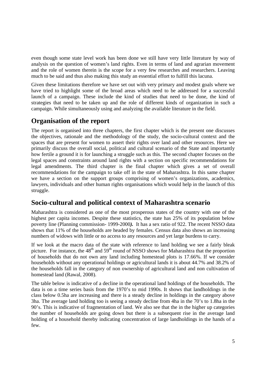even though some state level work has been done we still have very little literature by way of analysis on the question of women's land rights. Even in terms of land and agrarian movement and the role of women therein is the scope for a very few researches and researchers. Leaving much to be said and thus also making this study an essential effort to fulfill this lacuna.

Given these limitations therefore we have set out with very primary and modest goals where we have tried to highlight some of the broad areas which need to be addressed for a successful launch of a campaign. These include the kind of studies that need to be done, the kind of strategies that need to be taken up and the role of different kinds of organization in such a campaign. While simultaneously using and analyzing the available literature in the field.

## **Organisation of the report**

The report is organised into three chapters, the first chapter which is the present one discusses the objectives, rationale and the methodology of the study, the socio-cultural context and the spaces that are present for women to assert their rights over land and other resources. Here we primarily discuss the overall social, political and cultural scenario of the State and importantly how fertile a ground it is for launching a struggle such as this. The second chapter focuses on the legal spaces and constraints around land rights with a section on specific recommendations for legal amendments. The third chapter is the final chapter which gives a set of overall recommendations for the campaign to take off in the state of Maharashtra. In this same chapter we have a section on the support groups comprising of women's organizations, academics, lawyers, individuals and other human rights organisations which would help in the launch of this struggle.

## **Socio-cultural and political context of Maharashtra scenario**

Maharashtra is considered as one of the most prosperous states of the country with one of the highest per capita incomes. Despite these statistics, the state has 25% of its population below poverty line (Planning commission- 1999-2000*).* It has a sex ratio of 922. The recent NSSO data shows that 11% of the households are headed by females. Census data also shows an increasing numbers of widows with little or no access to any resources and yet large burdens to carry.

If we look at the macro data of the state with reference to land holding we see a fairly bleak picture. For instance, the  $48<sup>th</sup>$  and  $59<sup>th</sup>$  round of NSSO shows for Maharashtra that the proportion of households that do not own any land including homestead plots is 17.66%. If we consider households without any operational holdings or agricultural lands it is about 44.7% and 38.2% of the households fall in the category of non ownership of agricultural land and non cultivation of homestead land (Rawal, 2008).

The table below is indicative of a decline in the operational land holdings of the households. The data is on a time series basis from the 1970's to mid 1990s. It shows that landholdings in the class below 0.5ha are increasing and there is a steady decline in holdings in the category above 3ha. The average land holding too is seeing a steady decline from 4ha in the 70's to 1.8ha in the 90's. This is indicative of fragmentation of land. We also see that the in the higher up categories the number of households are going down but there is a subsequent rise in the average land holding of a household thereby indicating concentration of large landholdings in the hands of a few.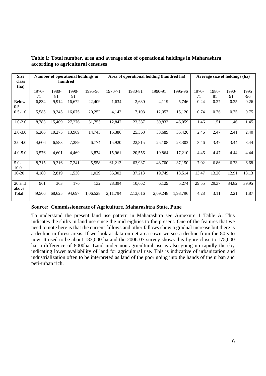| <b>Size</b><br>class<br>(ha) |        | Number of operational holdings in<br>hundred |        |          | Area of operational holding (hundred ha) |          |          |          |       | Average size of holdings (ha) |       |       |
|------------------------------|--------|----------------------------------------------|--------|----------|------------------------------------------|----------|----------|----------|-------|-------------------------------|-------|-------|
|                              | 1970-  | 1980-                                        | 1990-  | 1995-96  | 1970-71                                  | 1980-81  | 1990-91  | 1995-96  | 1970- | 1980-                         | 1990- | 1995  |
|                              | 71     | 81                                           | 91     |          |                                          |          |          |          | 71    | 81                            | 91    | -96   |
| <b>Below</b><br>0.5          | 6,834  | 9,914                                        | 16,672 | 22,409   | 1,634                                    | 2,630    | 4,119    | 5,746    | 0.24  | 0.27                          | 0.25  | 0.26  |
| $0.5 - 1.0$                  | 5,585  | 9,345                                        | 16,075 | 20,252   | 4,142                                    | 7,103    | 12,057   | 15,120   | 0.74  | 0.76                          | 0.75  | 0.75  |
| $1.0 - 2.0$                  | 8,783  | 15,409                                       | 27,276 | 31,755   | 12,842                                   | 23,337   | 39,833   | 46,059   | 1.46  | 1.51                          | 1.46  | 1.45  |
| $2.0 - 3.0$                  | 6,266  | 10,275                                       | 13,969 | 14,745   | 15,386                                   | 25,363   | 33,689   | 35,420   | 2.46  | 2.47                          | 2.41  | 2.40  |
| $3.0 - 4.0$                  | 4,606  | 6,583                                        | 7,289  | 6,774    | 15,920                                   | 22,815   | 25,108   | 23,303   | 3.46  | 3.47                          | 3.44  | 3.44  |
| $4.0 - 5.0$                  | 3,576  | 4,601                                        | 4,469  | 3,874    | 15,961                                   | 20,556   | 19,864   | 17,210   | 4.46  | 4.47                          | 4.44  | 4.44  |
| $5.0 -$<br>10.0              | 8,715  | 9,316                                        | 7,241  | 5,558    | 61,213                                   | 63,937   | 48,700   | 37,150   | 7.02  | 6.86                          | 6.73  | 6.68  |
| $10-20$                      | 4,180  | 2,819                                        | 1,530  | 1,029    | 56,302                                   | 37,213   | 19,749   | 13,514   | 13.47 | 13.20                         | 12.91 | 13.13 |
| 20 and<br>above              | 961    | 363                                          | 176    | 132      | 28,394                                   | 10,662   | 6,129    | 5,274    | 29.55 | 29.37                         | 34.82 | 39.95 |
| Total                        | 49,506 | 68,625                                       | 94,697 | 1,06,528 | 2,11,794                                 | 2,13,616 | 2,09,248 | 1,98,796 | 4.28  | 3.11                          | 2.21  | 1.87  |

**Table 1: Total number, area and average size of operational holdings in Maharashtra according to agricultural censuses** 

#### **Source***:* **Commissionerate of Agriculture, Maharashtra State, Pune**

To understand the present land use pattern in Maharashtra see Annexure 1 Table A. This indicates the shifts in land use since the mid eighties to the present. One of the features that we need to note here is that the current fallows and other fallows show a gradual increase but there is a decline in forest areas. If we look at data on net area sown we see a decline from the 80's to now. It used to be about 183,000 ha and the 2006-07 survey shows this figure close to 175,000 ha, a difference of 8000ha. Land under non-agricultural use is also going up rapidly thereby indicating lower availability of land for agricultural use. This is indicative of urbanization and industrialization often to be interpreted as land of the poor going into the hands of the urban and peri-urban rich.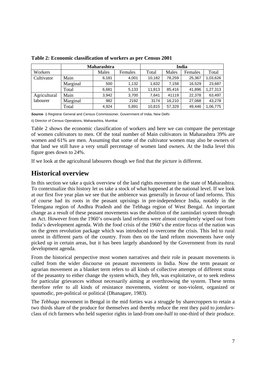|              | Maharashtra |       |         |        |        | India   |          |
|--------------|-------------|-------|---------|--------|--------|---------|----------|
| Workers      |             | Males | Females | Total  | Males  | Females | Total    |
| Cultivator   | Main        | 6,181 | 4,001   | 10,182 | 78,259 | 25,367  | 1,03,626 |
|              | Marginal    | 500   | 1,132   | 1,632  | 7,158  | 16,529  | 23,687   |
|              | Total       | 6,681 | 5,133   | 11,813 | 85.416 | 41,896  | 1,27,313 |
| Agricultural | Main        | 3,942 | 3,700   | 7,641  | 41119  | 22,378  | 63,497   |
| labourer     | Marginal    | 982   | 2192    | 3174   | 16.210 | 27,068  | 43,278   |
|              | Total       | 4,924 | 5,891   | 10,815 | 57,329 | 49,446  | 1,06,775 |

**Table 2: Economic classification of workers as per Census 2001** 

**Source**- i) Registrar General and Census Commissioner, Government of India, New Delhi

ii) Director of Census Operations, Maharashtra, Mumbai

Table 2 shows the economic classification of workers and here we can compare the percentage of women cultivators to men. Of the total number of Main cultivators in Maharashtra 39% are women and 61% are men. Assuming that some of the cultivator women may also be owners of that land we still have a very small percentage of women land owners. At the India level this figure goes down to 24%.

If we look at the agricultural labourers though we find that the picture is different.

#### **Historical overview**

In this section we take a quick overview of the land rights movement in the state of Maharashtra. To contextualize this history let us take a stock of what happened at the national level. If we look at our first five year plan we see that the ambience was generally in favour of land reforms. This of course had its roots in the peasant uprisings in pre-independence India, notably in the Telengana region of Andhra Pradesh and the Tebhaga region of West Bengal. An important change as a result of these peasant movements was the abolition of the zamindari system through an Act. However from the 1960's onwards land reforms were almost completely wiped out from India's development agenda. With the food crisis of the 1960's the entire focus of the nation was on the green revolution package which was introduced to overcome the crisis. This led to rural unrest in different parts of the country. From then on the land reform movements have only picked up in certain areas, but it has been largely abandoned by the Government from its rural development agenda.

From the historical perspective most women narratives and their role in peasant movements is culled from the wider discourse on peasant movements in India. Now the term peasant or agrarian movement as a blanket term refers to all kinds of collective attempts of different strata of the peasantry to either change the system which, they felt, was exploitative, or to seek redress for particular grievances without necessarily aiming at overthrowing the system. These terms therefore refer to all kinds of resistance movements, violent or non-violent, organized or spasmodic, pre-political or political (Dhanagare, 1983).

The *Tebhaga* movement in Bengal in the mid forties was a struggle by sharecroppers to retain a two thirds share of the produce for themselves and thereby reduce the rent they paid to *jotedars*class of rich farmers who held superior rights in land-from one-half to one-third of their produce.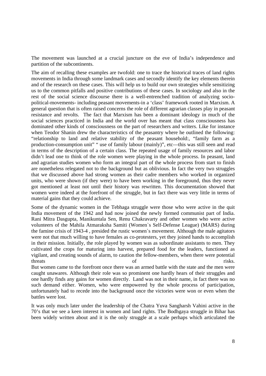The movement was launched at a crucial juncture on the eve of India's independence and partition of the subcontinents.

The aim of recalling these examples are twofold: one to trace the historical traces of land rights movements in India through some landmark cases and secondly identify the key elements therein and of the research on these cases. This will help us to build our own strategies while sensitizing us to the common pitfalls and positive contributions of these cases. In sociology and also in the rest of the social science discourse there is a well-entrenched tradition of analyzing sociopolitical-movements- including peasant movements-in a 'class' framework rooted in Marxism. A general question that is often raised concerns the role of different agrarian classes play in peasant resistance and revolts. The fact that Marxism has been a dominant ideology in much of the social sciences practiced in India and the world over has meant that class consciousness has dominated other kinds of consciousness on the part of researchers and writers. Like for instance when Teodor Shanin drew the characteristics of the peasantry where he outlined the following: "relationship to land and relative stability of the peasant household:, "family farm as a production-consumption unit" " use of family labour (mainly)", etc—this was still seen and read in terms of the description of a certain class. The repeated usage of family resources and labor didn't lead one to think of the role women were playing in the whole process. In peasant, land and agrarian studies women who form an integral part of the whole process from start to finish are nonetheless relegated not to the background but as oblivious. In fact the very two struggles that we discussed above had strong women as their cadre members who worked in organized units, who were shown (if they were) to have been working in the foreground, thus they never got mentioned at least not until their history was rewritten. This documentation showed that women were indeed at the forefront of the struggle, but in fact there was very little in terms of material gains that they could achieve.

Some of the dynamic women in the Tebhaga struggle were those who were active in the quit India movement of the 1942 and had now joined the newly formed communist part of India. Rani Mitra Dasgupta, Manikuntala Sen, Renu Chakravarty and other women who were active volunteers of the Mahila Atmaraksha Samiti (Women`s Self-Defense League) (MARS) during the famine crisis of 1943-4 , presided the rustic women`s movement. Although the male agitators were not that much willing to have females as co-protesters, yet they joined hands to accomplish in their mission. Initially, the role played by women was as subordinate assistants to men. They cultivated the crops for maturing into harvest, prepared food for the leaders, functioned as vigilant, and creating sounds of alarm, to caution the fellow-members, when there were potential threats of risks.

But women came to the forefront once there was an armed battle with the state and the men were caught unawares. Although their role was so prominent one hardly hears of their struggles and one hardly finds any gains for women directly. Land was not in their name, in fact there was no such demand either. Women, who were empowered by the whole process of participation, unfortunately had to recede into the background once the victories were won or even when the battles were lost.

It was only much later under the leadership of the Chatra Yuva Sangharsh Vahini active in the 70's that we see a keen interest in women and land rights. The Bodhgaya struggle in Bihar has been widely written about and it is the only struggle at a scale perhaps which articulated the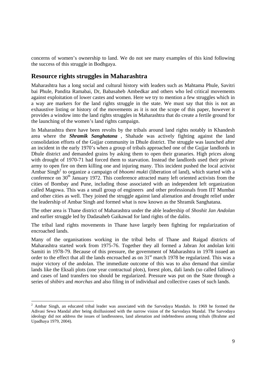concerns of women's ownership to land. We do not see many examples of this kind following the success of this struggle in Bodhgaya.

#### **Resource rights struggles in Maharashtra**

-

Maharashtra has a long social and cultural history with leaders such as Mahtama Phule, Savitri bai Phule, Pandita Ramabai, Dr, Babasaheb Ambedkar and others who led critical movements against exploitation of lower castes and women. Here we try to mention a few struggles which in a way are markers for the land rights struggle in the state. We must say that this is not an exhaustive listing or history of the movements as it is not the scope of this paper, however it provides a window into the land rights struggles in Maharashtra that do create a fertile ground for the launching of the women's land rights campaign.

In Maharashtra there have been revolts by the tribals around land rights notably in Khandesh area where the *Shramik Sanghatana* , Shahade was actively fighting against the land consolidation efforts of the Gujjar community in Dhule district. The struggle was launched after an incident in the early 1970's when a group of tribals approached one of the Gujjar landlords in Dhule district and demanded grains by asking them to open their granaries. High prices along with drought of 1970-71 had forced them to starvation. Instead the landlords used their private army to open fire on them killing one and injuring many. This incident pushed the local activist Ambar Singh<sup>2</sup> to organize a campaign of *bhoomi mukti* (liberation of land), which started with a conference on 30<sup>th</sup> January 1972. This conference attracted many left oriented activists from the cities of Bombay and Pune, including those associated with an independent left organization called Magowa. This was a small group of engineers and other professionals from IIT Mumbai and other cities as well. They joined the struggle against land alienation and drought relief under the leadership of Ambar Singh and formed what is now known as the Shramik Sanghatana.

The other area is Thane district of Maharashtra under the able leadership of *Shoshit Jan Andolan*  and earlier struggle led by Dadasaheb Gaikawad for land rights of the dalits.

The tribal land rights movements in Thane have largely been fighting for regularization of encroached lands.

Many of the organisations working in the tribal belts of Thane and Raigad districts of Maharashtra started work from 1975-76. Together they all formed a Jabran Jot andolan kriti Samiti in 1978-79. Because of this pressure, the government of Maharashtra in 1978 issued an order to the effect that all the lands encroached as on 31<sup>st</sup> march 1978 be regularized. This was a major victory of the andolan. The immediate outcome of this was to also demand that similar lands like the Eksali plots (one year contractual plots), forest plots, dali lands (so called fallows) and cases of land transfers too should be regularized. Pressure was put on the State through a series of *shibirs* and *morchas* and also filing in of individual and collective cases of such lands.

 $2$  Ambar Singh, an educated tribal leader was associated with the Sarvodaya Mandals. In 1969 he formed the Adivasi Sewa Mandal after being disillusioned with the narrow vision of the Sarvodaya Mandal. The Sarvodaya ideology did not address the issues of landlessness, land alienation and indebtedness among tribals (Brahme and Upadhaya 1979, 2004).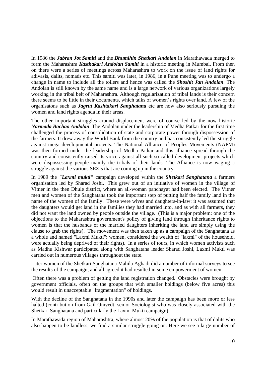In 1986 the *Jabran Jot Samiti* and the *Bhumihin Shetkari Andolan* in Marathawada merged to form the Maharashtra *Kasthakari Andolan Samiti* in a historic meeting in Mumbai. From then on there were a series of meetings across Maharashtra to work on the issue of land rights for adivasis, dalits, nomads etc. This samiti was later, in 1986, in a Pune meeting was to undergo a change in name to include all the toilers and hence was called the *Shoshit Jan Andolan*. The Andolan is still known by the same name and is a large network of various organizations largely working in the tribal belt of Maharashtra. Although regularization of tribal lands is their concern there seems to be little in their documents, which talks of women's rights over land. A few of the organisatons such as *Jagrut Kashtakari Sanghatana* etc are now also seriously pursuing the women and land rights agenda in their areas.

The other important struggles around displacement were of course led by the now historic *Narmada Bachao Andolan*. The Andolan under the leadership of Medha Patkar for the first time challenged the process of consolidation of state and corporate power through dispossession of the farmers. It drew away the World Bank from the country and has consistently led the struggle against mega developmental projects. The National Alliance of Peoples Movements (NAPM) was then formed under the leadership of Medha Patkar and this alliance spread through the country and consistently raised its voice against all such so called development projects which were dispossessing people mainly the tribals of their lands. The Alliance is now waging a struggle against the various SEZ's that are coming up in the country.

In 1989 the *"Laxmi mukti"* campaign developed within the *Shetkari Sanghatana* a farmers organisation led by Sharad Joshi. This grew out of an initiative of women in the village of Vitner in the then Dhule district, where an all-woman panchayat had been elected. The Vitner men and women of the Sanghatana took the important step of putting half the family land in the name of the women of the family. These were wives and daughters-in-law: it was assumed that the daughters would get land in the families they had married into, and as with all farmers, they did not want the land owned by people outside the village. (This is a major problem; one of the objections to the Maharashtra government's policy of giving land through inheritance rights to women is that the husbands of the married daughters inheriting the land are simply using the clause to grab the rights). The movement was then taken up as a campaign of the Sanghatana as a whole and named "Laxmi Mukti": women, considered the wealth of "laxmi" of the household, were actually being deprived of their rights). In a series of tours, in which women activists such as Madhu Kishwar participated along with Sanghatana leader Sharad Joshi, Laxmi Mukti was carried out in numerous villages throughout the state.

Later women of the Shetkari Sanghatana Mahila Aghadi did a number of informal surveys to see the results of the campaign, and all agreed it had resulted in some empowerment of women.

 Often there was a problem of getting the land registration changed. Obstacles were brought by government officials, often on the groups that with smaller holdings (below five acres) this would result in unacceptable "fragmentation" of holdings.

With the decline of the Sanghatana in the 1990s and later the campaign has been more or less halted (contribution from Gail Omvedt, senior Sociologist who was closely associated with the Shetkari Sanghatana and particularly the Laxmi Mukti campaign).

In Marathawada region of Maharashtra, where almost 20% of the population is that of dalits who also happen to be landless, we find a similar struggle going on. Here we see a large number of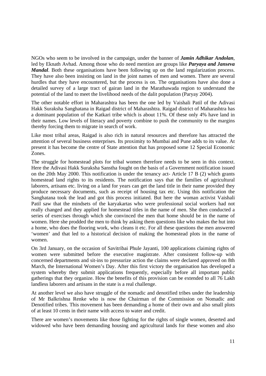NGOs who seem to be involved in the campaign, under the banner of *Jamin Adhikar Andolan*, led by Eknath Avhad. Among those who do need mention are groups like *Paryaya and Janseva Mandal*. Both these organisations have been following up on the land regularization process. They have also been insisting on land in the joint names of men and women. There are several hurdles that they have encountered, but the process is on. The organisations have also done a detailed survey of a large tract of gairan land in the Marathawada region to understand the potential of the land to meet the livelihood needs of the dalit population (Paryay 2004).

The other notable effort in Maharashtra has been the one led by Vaishali Patil of the Adivasi Hakk Suraksha Sanghatana in Raigad district of Maharashtra. Raigad district of Maharashtra has a dominant population of the Katkari tribe which is about 11%. Of these only 4% have land in their names. Low levels of literacy and poverty combine to push the community to the margins thereby forcing them to migrate in search of work.

Like most tribal areas, Raigad is also rich in natural resources and therefore has attracted the attention of several business enterprises. Its proximity to Mumbai and Pune adds to its value. At present it has become the centre of State attention that has proposed some 12 Special Economic Zones.

The struggle for homestead plots for tribal women therefore needs to be seen in this context. Here the Adivasi Hakk Suraksha Sanstha fought on the basis of a Government notification issued on the 20th May 2000. This notification is under the tenancy act- Article 17 B (2) which grants homestead land rights to its residents. The notification says that the families of agricultural laborers, artisans etc. living on a land for years can get the land title in their name provided they produce necessary documents, such as receipt of housing tax etc. Using this notification the Sanghatana took the lead and got this process initiated. But here the woman activist Vaishali Patil saw that the mindsets of the karyakartas who were professional social workers had not really changed and they applied for homestead titles in the name of men. She then conducted a series of exercises through which she convinced the men that home should be in the name of women. Here she prodded the men to think by asking them questions like who makes the hut into a home, who does the flooring work, who cleans it etc. For all these questions the men answered 'women' and that led to a historical decision of making the homestead plots in the name of women.

On 3rd January, on the occasion of Savitribai Phule Jayanti, 100 applications claiming rights of women were submitted before the executive magistrate. After consistent follow-up with concerned departments and sit-ins to pressurize action the claims were declared approved on 8th March, the International Women's Day. After this first victory the organisation has developed a system whereby they submit applications frequently, especially before all important public gatherings that they organize. How the benefits of this provision can be extended to all 76 Lakh landless laborers and artisans in the state is a real challenge.

At another level we also have struggle of the nomadic and denotified tribes under the leadership of Mr Balkrishna Renke who is now the Chairman of the Commission on Nomadic and Denotified tribes. This movement has been demanding a home of their own and also small plots of at least 10 cents in their name with access to water and credit.

There are women's movements like those fighting for the rights of single women, deserted and widowed who have been demanding housing and agricultural lands for these women and also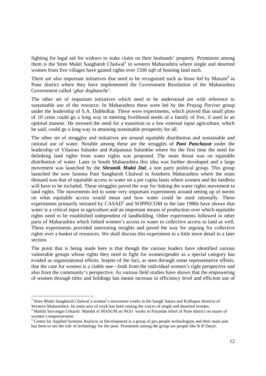fighting for legal aid for widows to stake claim on their husbands' property. Prominent among them is the Stree Mukti Sangharsh Chalwal<sup>3</sup> in western Maharashtra where single and deserted women from five villages have gained rights over 1500 sqft of housing land each.

There are also important initiatives that need to be recognized such as those led by Masum<sup>4</sup> in Pune district where they have implemented the Government Resolution of the Maharashtra Government called '*ghar doghanche*'.

The other set of important initiatives which need to be understood are with reference to sustainable use of the resource. In Maharashtra these were led by the *Prayog Parivar* group under the leadership of S.A. Dabholkar. These were experiments, which proved that small plots of 10 cents could go a long way in meeting livelihood needs of a family of five, if used in an optimal manner. He stressed the need for a transition to a low external input agriculture, which he said, could go a long way in attaining sustainable prosperity for all.

The other set of struggles and initiatives are around equitable distribution and sustainable and rational use of water. Notable among these are the struggles of *Pani Panchayat* under the leadership of Vilasrao Salunke and Kalpanatai Salunkhe where for the first time the need for delinking land rights from water rights was proposed. The main thrust was on equitable distribution of water. Later in South Maharashtra this idea was further developed and a large movement was launched by the *Shramik Mukti Dal*, a non party political group. This group launched the now famous Pani Sangharsh Chalwal in Southern Maharashtra where the main demand was that of equitable access to water on a per capita basis where women and the landless will have to be included. These struggles paved the way for linking the water rights movement to land rights. The movements led to some very important experiments around setting up of norms on what equitable access would mean and how water could be used rationally. These experiments primarily initiated by CASAD<sup>5</sup> and SOPPECOM in the late 1980s have shown that water is a critical input in agriculture and an important means of production over which equitable rights need to be established independent of landholding. Other experiments followed in other parts of Maharashtra which linked women's access to water to collective access to land as well. These experiments provided interesting insights and paved the way for arguing for collective rights over a basket of resources. We shall discuss this experiment in a little more detail in a later section.

The point that is being made here is that though the various leaders have identified various vulnerable groups whose rights they need to fight for women/gender as a special category has evaded as organizational efforts. Inspite of the fact, as seen through some representative efforts, that the case for women is a viable one—both from the individual women's right perspective and also from the community's perspective. As various field studies have shown that the empowering of women through titles and holdings has meant increase in efficiency level and efficient use of

-

<sup>&</sup>lt;sup>3</sup> Stree Mukti Sangharsh Chalwal a women's movement works in the Sangli Satara and Kolhapur districts of Western Maharashtra. Its main area of work has been raising the voices of single and deserted women.

<sup>&</sup>lt;sup>4</sup> Mahila Sarvangin Utkarsh Mandal or MASUM an NGO works in Purandar tehsil of Pune district on issues of women's empowerment.

<sup>&</sup>lt;sup>5</sup> Centre for Applied Systems Analysis in Development is a group of pro-people technologists and their main aim has been to see the role of technology for the poor. Prominent among the group are people like K R Datye.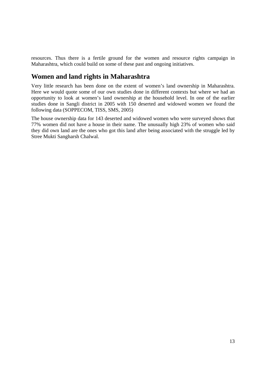resources. Thus there is a fertile ground for the women and resource rights campaign in Maharashtra, which could build on some of these past and ongoing initiatives.

## **Women and land rights in Maharashtra**

Very little research has been done on the extent of women's land ownership in Maharashtra. Here we would quote some of our own studies done in different contexts but where we had an opportunity to look at women's land ownership at the household level. In one of the earlier studies done in Sangli district in 2005 with 150 deserted and widowed women we found the following data (SOPPECOM, TISS, SMS, 2005)

The house ownership data for 143 deserted and widowed women who were surveyed shows that 77% women did not have a house in their name. The unusually high 23% of women who said they did own land are the ones who got this land after being associated with the struggle led by Stree Mukti Sangharsh Chalwal.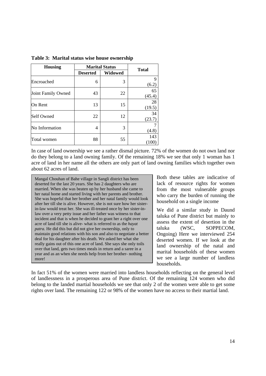| <b>Housing</b>     | <b>Marital Status</b> |                |              |
|--------------------|-----------------------|----------------|--------------|
|                    | <b>Deserted</b>       | <b>Widowed</b> | <b>Total</b> |
| Encroached         | 6                     | 3              | 9<br>(6.2)   |
| Joint Family Owned | 43                    | 22             | 65<br>(45.4) |
| On Rent            | 13                    | 15             | 28<br>(19.5) |
| Self Owned         | 22                    | 12             | 34<br>(23.7) |
| No Information     | 4                     | 3              | (4.8)        |
| Total women        | 88                    | 55             | 143<br>(100) |

**Table 3: Marital status wise house ownership** 

In case of land ownership we see a rather dismal picture. 72% of the women do not own land nor do they belong to a land owning family. Of the remaining 18% we see that only 1 woman has 1 acre of land in her name all the others are only part of land owning families which together own about 62 acres of land.

Mangal Chouhan of Bahe village in Sangli district has been deserted for the last 20 years. She has 2 daughters who are married. When she was beaten up by her husband she came to her natal home and started living with her parents and brother. She was hopeful that her brother and her natal family would look after her till she is alive. However, she is not sure how her sisterin-law would treat her. She was ill-treated once by her sister-inlaw over a very petty issue and her father was witness to that incident and that is when he decided to grant her a right over one acre of land till she is alive- what is referred to as the *hayat patra.* He did this but did not give her ownership, only to maintain good relations with his son and also to negotiate a better deal for his daughter after his death. We asked her what she really gains out of this one acre of land. She says she only toils over that land, gets two times meals in return and a saree in a year and as an when she needs help from her brother- nothing more!

Both these tables are indicative of lack of resource rights for women from the most vulnerable groups who carry the burden of running the household on a single income

We did a similar study in Daund taluka of Pune district but mainly to assess the extent of desertion in the taluka (WSC, SOPPECOM, Ongoing) Here we interviewed 254 deserted women. If we look at the land ownership of the natal and marital households of these women we see a large number of landless households.

In fact 51% of the women were married into landless households reflecting on the general level of landlessness in a prosperous area of Pune district. Of the remaining 124 women who did belong to the landed martial households we see that only 2 of the women were able to get some rights over land. The remaining 122 or 98% of the women have no access to their martial land.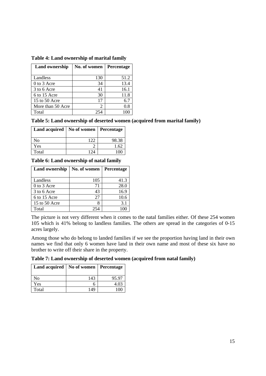| <b>Land ownership</b> | No. of women | Percentage |
|-----------------------|--------------|------------|
| Landless              | 130          | 51.2       |
| 0 to 3 Acre           | 34           | 13.4       |
| 3 to 6 Acre           | 41           | 16.1       |
| 6 to 15 Acre          | 30           | 11.8       |
| 15 to 50 Acre         | 17           | 6.7        |
| More than 50 Acre     | 2            | 0.8        |
| Total                 |              |            |

#### **Table 4: Land ownership of marital family**

| Table 5: Land ownership of deserted women (acquired from marital family) |  |  |
|--------------------------------------------------------------------------|--|--|
|                                                                          |  |  |

| Land acquired   No of women   Percentage |       |       |
|------------------------------------------|-------|-------|
| No                                       |       | 98.38 |
| Yes                                      |       | 1.62  |
| Total                                    | 1 7 4 |       |

**Table 6: Land ownership of natal family** 

| <b>Land ownership</b> | No. of women | <b>Percentage</b> |
|-----------------------|--------------|-------------------|
|                       |              |                   |
| Landless              | 105          | 41.3              |
| 0 to 3 Acre           | 71           | 28.0              |
| 3 to 6 Acre           | 43           | 16.9              |
| 6 to 15 Acre          | 27           | 10.6              |
| 15 to 50 Acre         |              | 3.1               |
| Total                 | 254          |                   |

The picture is not very different when it comes to the natal families either. Of these 254 women 105 which is 41% belong to landless families. The others are spread in the categories of 0-15 acres largely.

Among those who do belong to landed families if we see the proportion having land in their own names we find that only 6 women have land in their own name and most of these six have no brother to write off their share in the property.

**Table 7: Land ownership of deserted women (acquired from natal family)** 

| Land acquired   No of women   Percentage |     |          |
|------------------------------------------|-----|----------|
| No                                       | 143 | 95.97    |
| Yes                                      |     | 4.03     |
| Total                                    | 149 | * ∩ )r - |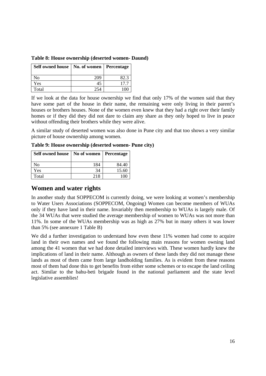| Self owned house | No. of women   Percentage |      |
|------------------|---------------------------|------|
| No               | 209                       | 82.3 |
| Yes              | 45                        | 17.7 |
| Total            |                           |      |

**Table 8: House ownership (deserted women- Daund)** 

If we look at the data for house ownership we find that only 17% of the women said that they have some part of the house in their name, the remaining were only living in their parent's houses or brothers houses. None of the women even knew that they had a right over their family homes or if they did they did not dare to claim any share as they only hoped to live in peace without offending their brothers while they were alive.

A similar study of deserted women was also done in Pune city and that too shows a very similar picture of house ownership among women.

**Table 9: House ownership (deserted women- Pune city)** 

| Self owned house   No of women |     | Percentage |
|--------------------------------|-----|------------|
| No                             | 184 | 84.40      |
| Yes                            | 34  | 15.60      |
| Total                          | 218 |            |

#### **Women and water rights**

In another study that SOPPECOM is currently doing, we were looking at women's membership to Water Users Associations (SOPPECOM, Ongoing) Women can become members of WUAs only if they have land in their name. Invariably then membership to WUAs is largely male. Of the 34 WUAs that were studied the average membership of women to WUAs was not more than 11%. In some of the WUAs membership was as high as 27% but in many others it was lower than 5% (see annexure 1 Table B)

We did a further investigation to understand how even these 11% women had come to acquire land in their own names and we found the following main reasons for women owning land among the 41 women that we had done detailed interviews with. These women hardly knew the implications of land in their name. Although as owners of these lands they did not manage these lands as most of them came from large landholding families. As is evident from these reasons most of them had done this to get benefits from either some schemes or to escape the land ceiling act. Similar to the bahu-beti brigade found in the national parliament and the state level legislative assemblies!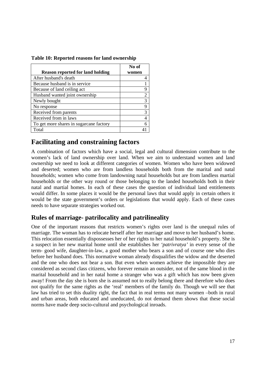| Table 10: Reported reasons for land ownership |  |  |  |
|-----------------------------------------------|--|--|--|
|-----------------------------------------------|--|--|--|

|                                         | No of |
|-----------------------------------------|-------|
| <b>Reason reported for land holding</b> | women |
| After husband's death                   |       |
| Because husband is in service           |       |
| Because of land ceiling act             | 9     |
| Husband wanted joint ownership          | 2     |
| Newly bought                            | 3     |
| No response                             | 9     |
| Received from parents                   | 3     |
| Received from in laws                   | 4     |
| To get more shares in sugarcane factory |       |
| Total                                   |       |

## **Facilitating and constraining factors**

A combination of factors which have a social, legal and cultural dimension contribute to the women's lack of land ownership over land. When we aim to understand women and land ownership we need to look at different categories of women. Women who have been widowed and deserted; women who are from landless households both from the marital and natal households; women who come from landowning natal households but are from landless martial households or the other way round or those belonging to the landed households both in their natal and martial homes. In each of these cases the question of individual land entitlements would differ. In some places it would be the personal laws that would apply in certain others it would be the state government's orders or legislations that would apply. Each of these cases needs to have separate strategies worked out.

#### **Rules of marriage- patrilocality and patrilineality**

One of the important reasons that restricts women's rights over land is the unequal rules of marriage. The woman has to relocate herself after her marriage and move to her husband's home. This relocation essentially dispossesses her of her rights to her natal household's property. She is a suspect in her new marital home until she establishes her *'patrivratya'* in every sense of the term- good wife, daughter-in-law, a good mother who bears a son and of course one who dies before her husband does. This normative woman already disqualifies the widow and the deserted and the one who does not bear a son. But even when women achieve the impossible they are considered as second class citizens, who forever remain an outsider, not of the same blood in the marital household and in her natal home a stranger who was a gift which has now been given away! From the day she is born she is assumed not to really belong there and therefore who does not qualify for the same rights as the 'real' members of the family do. Though we will see that law has tried to set this duality right, the fact that in real terms not many women –both in rural and urban areas, both educated and uneducated, do not demand them shows that these social norms have made deep socio-cultural and psychological inroads.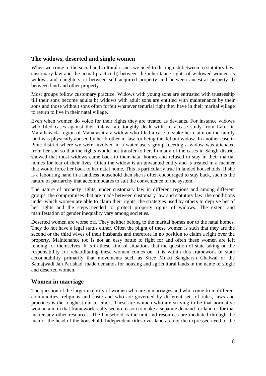#### **The widows, deserted and single women**

When we come to the social and cultural issues we need to distinguish between a) statutory law. customary law and the actual practice b) between the inheritance rights of widowed women as widows and daughters c) between self acquired property and between ancestral property d) between land and other property

Most groups follow customary practice. Widows with young sons are entrusted with trusteeship till their sons become adults b) widows with adult sons are entitled with maintenance by their sons and those without sons often forfeit whatever tenurial right they have in their marital village to return to live in their natal village.

Even when women do voice for their rights they are treated as deviants. For instance widows who filed cases against their inlaws are toughly dealt with. In a case study from Latur in Marathawada region of Maharashtra a widow who filed a case to stake her claim on the family land was physically abused by her brother-in-law for being the defiant widow. In another case in Pune district where we were involved in a water users group meeting a widow was alienated from her son so that the rights would not transfer to her. In many of the cases in Sangli district showed that most widows came back to their natal homes and refused to stay in their martial homes for fear of their lives. Often the widow is an unwanted entity and is treated in a manner that would force her back to her natal home. This is particularly true in landed households. If she is a labouring hand in a landless household then she is often encouraged to stay back, such is the nature of patriarchy that accommodates to suit the convenience of the system.

The nature of property rights, under customary law in different regions and among different groups, the compromises that are made between customary law and statutory law, the conditions under which women are able to claim their rights, the strategies used by others to deprive her of her rights and the steps needed to protect property rights of widows. The extent and manifestation of gender inequality vary among societies**.** 

Deserted women are worse off. They neither belong to the marital homes nor to the natal homes. They do not have a legal status either. Often the plight of these women is such that they are the second or the third wives of their husbands and therefore in no position to claim a right over the property. Maintenance too is not an easy battle to fight for and often these women are left fending for themselves. It is in these kind of situations that the question of state taking on the responsibility for rehabilitating these women comes on. It is within this framework of state accountability primarily that movements such as Stree Mukti Sangharsh Chalwal or the Samajwadi Jan Parishad, made demands for housing and agricultural lands in the name of single and deserted women.

#### **Women in marriage**

The question of the larger majority of women who are in marriages and who come from different communities, religions and caste and who are governed by different sets of rules, laws and practices is the toughest nut to crack. These are women who are striving to be that normative woman and in that framework really see no reason to make a separate demand for land or for that matter any other resources. The household is the unit and resources are mediated through the man or the head of the household. Independent titles over land are not the expressed need of the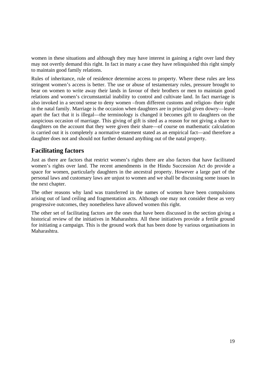women in these situations and although they may have interest in gaining a right over land they may not overtly demand this right. In fact in many a case they have relinquished this right simply to maintain good family relations.

Rules of inheritance, rule of residence determine access to property. Where these rules are less stringent women's access is better. The use or abuse of testamentary rules, pressure brought to bear on women to write away their lands in favour of their brothers or men to maintain good relations and women's circumstantial inability to control and cultivate land. In fact marriage is also invoked in a second sense to deny women –from different customs and religion- their right in the natal family. Marriage is the occasion when daughters are in principal given dowry—leave apart the fact that it is illegal—the terminology is changed it becomes gift to daughters on the auspicious occasion of marriage. This giving of gift is sited as a reason for not giving a share to daughters on the account that they were given their share—of course on mathematic calculation is carried out it is completely a normative statement stated as an empirical fact—and therefore a daughter does not and should not further demand anything out of the natal property.

### **Facilitating factors**

Just as there are factors that restrict women's rights there are also factors that have facilitated women's rights over land. The recent amendments in the Hindu Succession Act do provide a space for women, particularly daughters in the ancestral property. However a large part of the personal laws and customary laws are unjust to women and we shall be discussing some issues in the next chapter.

The other reasons why land was transferred in the names of women have been compulsions arising out of land ceiling and fragmentation acts. Although one may not consider these as very progressive outcomes, they nonetheless have allowed women this right.

The other set of facilitating factors are the ones that have been discussed in the section giving a historical review of the initiatives in Maharashtra. All these initiatives provide a fertile ground for initiating a campaign. This is the ground work that has been done by various organisations in Maharashtra.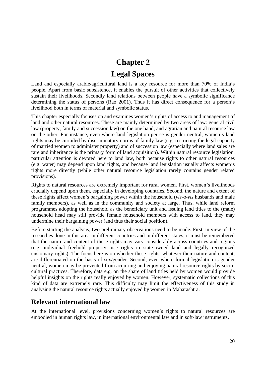# **Chapter 2 Legal Spaces**

Land and especially arable/agricultural land is a key resource for more than 70% of India's people. Apart from basic subsistence, it enables the pursuit of other activities that collectively sustain their livelihoods. Secondly land relations between people have a symbolic significance determining the status of persons (Rao 2001). Thus it has direct consequence for a person's livelihood both in terms of material and symbolic status.

This chapter especially focuses on and examines women's rights of access to and management of land and other natural resources. These are mainly determined by two areas of law: general civil law (property, family and succession law) on the one hand, and agrarian and natural resource law on the other. For instance, even where land legislation per se is gender neutral, women's land rights may be curtailed by discriminatory norms of family law (e.g. restricting the legal capacity of married women to administer property) and of succession law (especially where land sales are rare and inheritance is the primary form of land acquisition). Within natural resource legislation, particular attention is devoted here to land law, both because rights to other natural resources (e.g. water) may depend upon land rights, and because land legislation usually affects women's rights more directly (while other natural resource legislation rarely contains gender related provisions).

Rights to natural resources are extremely important for rural women. First, women's livelihoods crucially depend upon them, especially in developing countries. Second, the nature and extent of these rights affect women's bargaining power within the household (*vis-à-vis* husbands and male family members), as well as in the community and society at large. Thus, while land reform programmes adopting the household as the beneficiary unit and issuing land titles to the (male) household head may still provide female household members with access to land, they may undermine their bargaining power (and thus their social position).

Before starting the analysis, two preliminary observations need to be made. First, in view of the researches done in this area in different countries and in different states, it must be remembered that the nature and content of these rights may vary considerably across countries and regions (e.g. individual freehold property, use rights in state-owned land and legally recognized customary rights). The focus here is on whether these rights, whatever their nature and content, are differentiated on the basis of sex/gender. Second, even where formal legislation is gender neutral, women may be prevented from acquiring and enjoying natural resource rights by sociocultural practices. Therefore, data e.g. on the share of land titles held by women would provide helpful insights on the rights really enjoyed by women. However, systematic collections of this kind of data are extremely rare. This difficulty may limit the effectiveness of this study in analysing the natural resource rights actually enjoyed by women in Maharashtra.

## **Relevant international law**

At the international level, provisions concerning women's rights to natural resources are embodied in human rights law, in international environmental law and in soft-law instruments.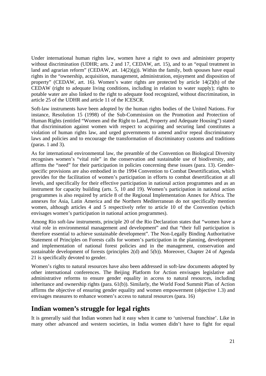Under international human rights law, women have a right to own and administer property without discrimination (UDHR; arts. 2 and 17, CEDAW, art. 15), and to an "equal treatment in land and agrarian reform" (CEDAW, art.  $14(2)(g)$ ). Within the family, both spouses have equal rights in the "ownership, acquisition, management, administration, enjoyment and disposition of property" (CEDAW, art. 16). Women's water rights are protected by article 14(2)(h) of the CEDAW (right to adequate living conditions, including in relation to water supply); rights to potable water are also linked to the right to adequate food recognized, without discrimination, in article 25 of the UDHR and article 11 of the ICESCR.

Soft-law instruments have been adopted by the human rights bodies of the United Nations. For instance, Resolution 15 (1998) of the Sub-Commission on the Promotion and Protection of Human Rights (entitled "Women and the Right to Land, Property and Adequate Housing") stated that discrimination against women with respect to acquiring and securing land constitutes a violation of human rights law, and urged governments to amend and/or repeal discriminatory laws and policies and to encourage the transformation of discriminatory customs and traditions (paras. 1 and 3).

As for international environmental law, the preamble of the Convention on Biological Diversity recognises women's "vital role" in the conservation and sustainable use of biodiversity, and affirms the "need" for their participation in policies concerning these issues (para. 13). Genderspecific provisions are also embodied in the 1994 Convention to Combat Desertification, which provides for the facilitation of women's participation in efforts to combat desertification at all levels, and specifically for their effective participation in national action programmes and as an instrument for capacity building (arts. 5, 10 and 19). Women's participation in national action programmes is also required by article 8 of the Regional Implementation Annex for Africa. The annexes for Asia, Latin America and the Northern Mediterranean do not specifically mention women, although articles 4 and 5 respectively refer to article 10 of the Convention (which envisages women's participation in national action programmes).

Among Rio soft-law instruments, principle 20 of the Rio Declaration states that "women have a vital role in environmental management and development" and that "their full participation is therefore essential to achieve sustainable development". The Non-Legally Binding Authoritative Statement of Principles on Forests calls for women's participation in the planning, development and implementation of national forest policies and in the management, conservation and sustainable development of forests (principles 2(d) and 5(b)). Moreover, Chapter 24 of Agenda 21 is specifically devoted to gender.

Women's rights to natural resources have also been addressed in soft-law documents adopted by other international conferences. The Beijing Platform for Action envisages legislative and administrative reforms to ensure gender equality in access to natural resources, including inheritance and ownership rights (para. 61(b)). Similarly, the World Food Summit Plan of Action affirms the objective of ensuring gender equality and women empowerment (objective 1.3) and envisages measures to enhance women's access to natural resources (para. 16)

## **Indian women's struggle for legal rights**

It is generally said that Indian women had it easy when it came to 'universal franchise'. Like in many other advanced and western societies, in India women didn't have to fight for equal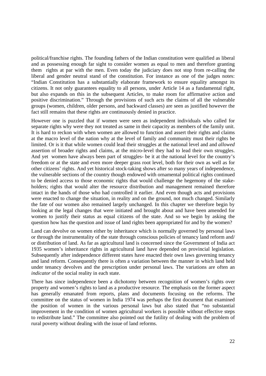political/franchise rights. The founding fathers of the Indian constitution were qualified as liberal and as possessing enough far sight to consider women as equal to men and therefore granting them rights at par with the men. Even today the judiciary does not stop from re-calling the liberal and gender neutral stand of the constitution. For instance as one of the judges notes: "Indian Constitution has a substantially elaborate framework to ensure equality amongst its citizens. It not only guarantees equality to all persons, under Article 14 as a fundamental right, but also expands on this in the subsequent Articles, to make room for affirmative action and positive discrimination." Through the provisions of such acts the claims of all the vulnerable groups (women, children, older persons, and backward classes) are seen as justified however the fact still remains that these rights are continuously denied in practice.

However one is puzzled that if women were seen as independent individuals who called for separate rights why were they not treated as same in their capacity as members of the family unit. It is hard to reckon with when women are allowed to function and assert their rights and claims at the macro level of the nation why at the level of family and community must their rights be limited. Or is it that while women could lead their struggles at the national level and and *allowed* assertion of broader rights and claims, at the micro-level they had to lead their own struggles. And yet women have always been part of struggles- be it at the national level for the country's freedom or at the state and even more deeper grass root level, both for their own as well as for other citizens' rights. And yet historical stock-taking shows after so many years of independence, the vulnerable sections of the country though endowed with ornamental political rights continued to be denied access to those economic rights that would challenge the hegemony of the stakeholders; rights that would alter the resource distribution and management remained therefore intact in the hands of those who had controlled it earlier. And even though acts and provisions were enacted to change the situation, in reality and on the ground, not much changed. Similarly the fate of our women also remained largely unchanged. In this chapter we therefore begin by looking at the legal changes that were initiated and brought about and have been amended for women to justify their status as equal citizens of the state. And so we begin by asking the question how has the question and issue of land rights been appropriated for and by the women?

Land can devolve on women either by inheritance which is normally governed by personal laws or through the instrumentality of the state through conscious policies of tenancy land reform and/ or distribution of land. As far as agricultural land is concerned since the Government of India act 1935 women's inheritance rights in agricultural land have depended on provincial legislation. Subsequently after independence different states have enacted their own laws governing tenancy and land reform. Consequently there is often a variation between the manner in which land held under tenancy devolves and the prescription under personal laws. The variations are often an *indicator* of the social reality in each state.

There has since independence been a dichotomy between recognition of women's rights over property and women's rights to land as a productive resource. The emphasis on the former aspect has generally emanated from reports, plans and documents focusing on the reforms. The committee on the status of women in India 1974 was perhaps the first document that examined the position of women in the various personal laws but also stated that "no substantial improvement in the condition of women agricultural workers is possible without effective steps to redistribute land." The committee also pointed out the futility of dealing with the problem of rural poverty without dealing with the issue of land reforms.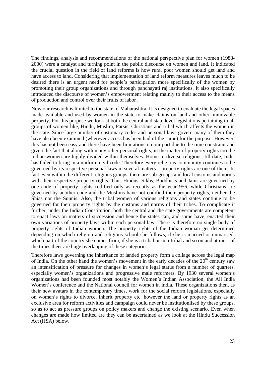The findings, analysis and recommendations of the national perspective plan for women (1988- 2000) were a catalyst and turning point in the public discourse on women and land. It indicated the crucial question in the field of land reforms is how rural poor women should get land and have access to land. Considering that implementation of land reform measures leaves much to be desired there is an urgent need for people's participation more specifically of the women by promoting their group organizations and through panchayati raj institutions. It also specifically introduced the discourse of women's empowerment relating mainly to their access to the means of production and control over their fruits of labor .

Now our research is limited to the state of Maharashtra. It is designed to evaluate the legal spaces made available and used by women in the state to make claims on land and other immovable property. For this purpose we look at both the central and state level legislations pertaining to all groups of women like, Hindu, Muslim, Parsis, Christians and tribal which affects the women in the state. Since large number of customary codes and personal laws govern many of them they have also been examined (wherever access has been had of the same) for the purpose. However, this has not been easy and there have been limitations on our part due to the time constraint and given the fact that along with many other personal rights, in the matter of property rights too the Indian women are highly divided within themselves. Home to diverse religions, till date, India has failed to bring in a uniform civil code. Therefore every religious community continues to be governed by its respective personal laws in several matters – property rights are one of them. In fact even within the different religious groups, there are sub-groups and local customs and norms with their respective property rights. Thus Hindus, Sikhs, Buddhists and Jains are governed by one code of property rights codified only as recently as the year1956, while Christians are governed by another code and the Muslims have not codified their property rights, neither the Shias nor the Sunnis. Also, the tribal women of various religions and states continue to be governed for their property rights by the customs and norms of their tribes. To complicate it further, under the Indian Constitution, both the central and the state governments are competent to enact laws on matters of succession and hence the states can, and some have, enacted their own variations of property laws within each personal law. There is therefore no single body of property rights of Indian women. The property rights of the Indian woman get determined depending on which religion and religious school she follows, if she is married or unmarried, which part of the country she comes from, if she is a tribal or non-tribal and so on and at most of the times theer are huge overlapping of these categories..

Therefore laws governing the inheritance of landed property form a collage across the legal map of India. On the other hand the women's movement in the early decades of the  $20<sup>th</sup>$  century saw an intensification of pressure for changes in women's legal status from a number of quarters, especially women's organizations and progressive male reformers. By 1930 several women's organizations had been founded most notably the Women's Indian Association, the All India Women's conference and the National council for women in India. These organizations then, as their new avatars in the contemporary times, work for the social reform legislations, especially on women's rights to divorce, inherit property etc. however the land or property rights as an exclusive area for reform activities and campaign could never be institutionlised by these groups, so as to act as pressure groups on policy makers and change the existing scenario. Even when changes are made how limited are they can be ascertained as we look at the Hindu Succession Act (HSA) below.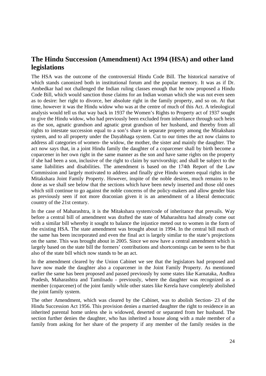## **The Hindu Succession (Amendment) Act 1994 (HSA) and other land legislations**

The HSA was the outcome of the controversial Hindu Code Bill. The historical narrative of which stands canonized both in institutional forum and the popular memory. It was as if Dr. Ambedkar had not challenged the Indian ruling classes enough that he now proposed a Hindu Code Bill, which would sanction those claims for an Indian woman which she was not even seen as to desire: her right to divorce, her absolute right in the family property, and so on. At that time, however it was the Hindu widow who was at the centre of much of this Act. A teleological analysis would tell us that way back in 1937 the Women's Rights to Property act of 1937 sought to give the Hindu widow, who had previously been excluded from inheritance through such heirs as the son, agnatic grandson and agnatic great grandson of her husband, and thereby from all rights to intestate succession equal to a son's share in separate property among the Mitakshara system, and to all property under the Dayabhaga system. Cut to our times the act now claims to address all categories of women- the widow, the mother, the sister and mainly the daughter. The act now says that, in a joint Hindu family the daughter of a coparcener shall by birth become a coparcener in her own right in the same manner as the son and have same rights on the property if she had been a son, inclusive of the right to claim by survivorship; and shall be subject to the same liabilities and disabilities. The amendment is based on the 174th Report of the Law Commission and largely motivated to address and finally give Hindu women equal rights in the Mitakshara Joint Family Property. However, inspite of the noble desires, much remains to be done as we shall see below that the sections which have been newly inserted and those old ones which still continue to go against the noble concerns of the policy-makers and allow gender bias as previously seen if not more draconian given it is an amendment of a liberal democratic country of the 21st century.

In the case of Maharashtra, it is the Mitakshara system/code of inheritance that prevails. Way before a central bill of amendment was drafted the state of Maharashtra had already come out with a similar bill whereby it sought to balance the injustice meted out to women in the form of the existing HSA. The state amendment was brought about in 1994. In the central bill much of the same has been incorporated and even the final act is largely similar to the state's projections on the same. This was brought about in 2005. Since we now have a central amendment which is largely based on the state bill the formers' contributions and shortcomings can be seen to be that also of the state bill which now stands to be an act.

In the amendment cleared by the Union Cabinet we see that the legislators had proposed and have now made the daughter also a coparcener in the Joint Family Property. As mentioned earlier the same has been proposed and passed previously by some states like Karnataka, Andhra Pradesh, Maharashtra and Tamilnadu - previously, where the daughter was recognized as a member (coparcener) of the joint family while other states like Kerela have completely abolished the joint family system.

The other Amendment, which was cleared by the Cabinet, was to abolish Section- 23 of the Hindu Succession Act 1956. This provision denies a married daughter the right to residence in an inherited parental home unless she is widowed, deserted or separated from her husband. The section further denies the daughter, who has inherited a house along with a male member of a family from asking for her share of the property if any member of the family resides in the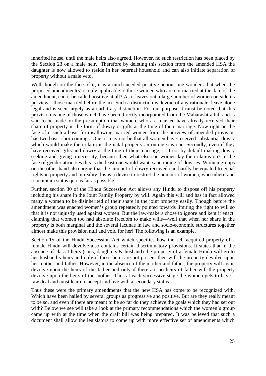inherited house, until the male heirs also agreed. However, no such restriction has been placed by the Section 23 on a male heir. Therefore by deleting this section from the amended HSA the daughter is now allowed to reside in her paternal household and can also initiate separation of property without a male veto.

Well though on the face of it, it is a much needed positive action, one wonders that when the proposed amendment(s) is only applicable to those women who are not married at the date of the amendment, can it be called positive at all? As it leaves out a large number of women outside its purview—those married before the act. Such a distinction is devoid of any rationale, leave alone legal and is seen largely as an arbitrary distinction. For our purpose it must be noted that this provision is one of those which have been directly incorporated from the Maharashtra bill and is said to be made on the presumption that women, who are married have already received their share of property in the form of dowry or gifts at the time of their marriage. Now right on the face of it such a basis for disallowing married women form the purview of amended provision has two basic shortcomings. One, it may not be that all women have received substantial dowry which would make their claim in the natal property an outrageous one. Secondly, even if they have received gifts and dowry at the time of their marriage, is it not by default making dowry seeking and giving a necessity, because then what else can women lay their claims on? In the face of gender atrocities this is the least one would want, sanctioning of dowries. Women groups on the other hand also argue that the amount of dowry received can hardly be equated to equal rights in property and in reality this is a devise to restrict the number of women, who inherit and to maintain status quo as far as possible.

Further, section 30 of the Hindu Succession Act allows any Hindu to dispose off his property including his share in the Joint Family Property by will. Again this will and has in fact allowed many a women to be disinherited of their share in the joint property easily. Though before the amendment was enacted women's group repeatedly pointed towards limiting the right to will so that it is not unjustly used against women. But the law-makers chose to ignore and kept it enact, claiming that women too had absolute freedom to make wills—well that when her share in the property is both marginal and the several lacunae in law and socio-economic structures together almost make this provision null and void for her! The following is an example.

Section 15 of the Hindu Succession Act which specifies how the self acquired property of a female Hindu will devolve also contains certain discriminatory provisions. It states that in the absence of class I heirs (sons, daughters & husband) the property of a female Hindu will go to her husband's heirs and only if these heirs are not present then will the property devolve upon her mother and father. However, in the absence of the mother and father, the property will again devolve upon the heirs of the father and only if there are no heirs of father will the property devolve upon the heirs of the mother. Thus at each successive stage the women gets to have a raw deal and must learn to accept and live with a secondary status.

Thus these were the primary amendments that the new HSA has come to be recognized with. Which have been hailed by several groups as progressive and positive. But are they really meant to be so, and even if there are meant to be so far do they achieve the goals which they had set out with? Below we see will take a look at the primary recommendations which the women's group came up with at the time when the draft bill was being prepared. It was believed that such a document shall allow the legislators to come up with more effective set of amendments which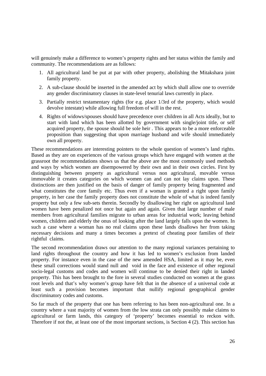will genuinely make a difference to women's property rights and her status within the family and community. The recommendations are as follows:

- 1. All agricultural land be put at par with other property, abolishing the Mitakshara joint family property.
- 2. A sub-clause should be inserted in the amended act by which shall allow one to override any gender discriminatory clauses in state-level tenurial laws currently in place.
- 3. Partially restrict testamentary rights (for e.g. place 1/3rd of the property, which would devolve intestate) while allowing full freedom of will in the rest.
- 4. Rights of widows/spouses should have precedence over children in all Acts ideally, but to start with land which has been allotted by government with single/joint title, or self acquired property, the spouse should be sole heir . This appears to be a more enforceable proposition than suggesting that upon marriage husband and wife should immediately own all property.

These recommendations are interesting pointers to the whole question of women's land rights. Based as they are on experiences of the various groups which have engaged with women at the grassroot the recommendations shows us that the above are the most commonly used methods and ways by which women are disempowered by their own and in their own circles. First by distinguishing between property as agricultural versus non agricultural, movable versus immovable it creates categories on which women can and can not lay claims upon. These distinctions are then justified on the basis of danger of family property being fragmented and what constitutes the core family etc. Thus even if a woman is granted a right upon family property, in her case the family property does not constitute the whole of what is indeed family property but only a few sub-sets therein. Secondly by disallowing her right on agricultural land women have been penalized not once but again and again. Given that large number of male members from agricultural families migrate to urban areas for industrial work; leaving behind women, children and elderly the onus of looking after the land largely falls upon the women. In such a case where a woman has no real claims upon these lands disallows her from taking necessary decisions and many a times becomes a pretext of cheating poor families of their rightful claims.

The second recommendation draws our attention to the many regional variances pertaining to land rights throughout the country and how it has led to women's exclusion from landed property. For instance even in the case of the new amended HSA, limited as it may be, even these small corrections would stand null and void in the face and existence of other regional socio-legal customs and codes and women will continue to be denied their right in landed property. This has been brought to the fore in several studies conducted on women at the grass root levels and that's why women's group have felt that in the absence of a universal code at least such a provision becomes important that nullify regional geographical gender discriminatory codes and customs.

So far much of the property that one has been referring to has been non-agricultural one. In a country where a vast majority of women from the low strata can only possibly make claims to agricultural or farm lands, this category of 'property' becomes essential to reckon with. Therefore if not the, at least one of the most important sections, is Section 4 (2). This section has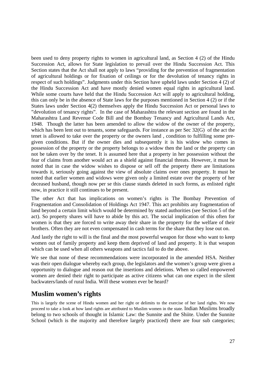been used to deny property rights to women in agricultural land, as Section 4 (2) of the Hindu Succession Act, allows for State legislation to prevail over the Hindu Succession Act. This Section states that the Act shall not apply to laws "providing for the prevention of fragmentation of agricultural holdings or for fixation of ceilings or for the devolution of tenancy rights in respect of such holdings". Judgments under this Section have upheld laws under Section 4 (2) of the Hindu Succession Act and have mostly denied women equal rights in agricultural land. While some courts have held that the Hindu Succession Act will apply to agricultural holding, this can only be in the absence of State laws for the purposes mentioned in Section 4 (2) or if the States laws under Section 4(2) themselves apply the Hindu Succession Act or personal laws to "devolution of tenancy rights". In the case of Maharashtra the relevant section are found in the Maharashtra Land Revenue Code Bill and the Bombay Tenancy and Agricultural Lands Act, 1948. Though the latter has been amended to allow the widow of the owner of the property, which has been lent out to tenants, some safeguards. For instance as per Sec 32(G) of the act the tenet is allowed to take over the property or the owners land , condition to fulfilling some pregiven conditions. But if the owner dies and subsequently it is his widow who comes in possession of the property or the property belongs to a widow then the land or the property can not be taken over by the tenet. It is assumed here that a property in her possession without the fear of claims from another would act as a shield against financial threats. However, it must be noted that in case the widow wishes to dispose or sell off the property there are limitations towards it, seriously going against the view of absolute claims over ones property. It must be noted that earlier women and widows were given only a limited estate over the property of her deceased husband, though now per se this clause stands deleted in such forms, as enlisted right now, in practice it still continues to be present.

The other Act that has implications on women's rights is The Bombay Prevention of Fragmentation and Consolidation of Holdings Act 1947. This act prohibits any fragmentation of land beyond a certain limit which would be determined by stated authorities (see Section 5 of the act). So property shares will have to abide by this act. The social implication of this often for women is that they are forced to write away their share in the property for the welfare of their brothers. Often they are not even compensated in cash terms for the share that they lose out on.

And lastly the right to will is the final and the most powerful weapon for those who want to keep women out of family property and keep them deprived of land and property. It is that weapon which can be used when all others weapons and tactics fail to do the above.

We see that none of these recommendations were incorporated in the amended HSA. Neither was their open dialogue whereby each group, the legislators and the women's group were given a opportunity to dialogue and reason out the insertions and deletions. When so called empowered women are denied their right to participate as active citizens what can one expect in the silent backwaters/lands of rural India. Will these women ever be heard?

## **Muslim women's rights**

This is largely the scene of Hindu women and her right or delimits to the exercise of her land rights. We now proceed to take a look at how land rights are attributed to Muslim women in the state. Indian Muslims broadly belong to two schools of thought in Islamic Law: the Sunnite and the Shiite. Under the Sunnite School (which is the majority and therefore largely practiced) there are four sub categories;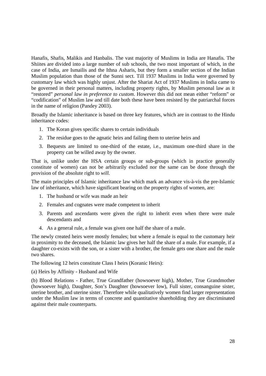Hanafis, Shafis, Malikis and Hanbalis. The vast majority of Muslims in India are Hanafis. The Shiites are divided into a large number of sub schools, the two most important of which, in the case of India, are Ismailis and the Ithna Asharis, but they form a smaller section of the Indian Muslim population than those of the Sunni sect. Till 1937 Muslims in India were governed by customary law which was highly unjust. After the Shariat Act of 1937 Muslims in India came to be governed in their personal matters, including property rights, by Muslim personal law as it "restored" *personal law in preference to custom*. However this did not mean either "reform" or "codification" of Muslim law and till date both these have been resisted by the patriarchal forces in the name of religion (Pandey 2003).

Broadly the Islamic inheritance is based on three key features, which are in contrast to the Hindu inheritance codes:

- 1. The Koran gives specific shares to certain individuals
- 2. The residue goes to the agnatic heirs and failing them to uterine heirs and
- 3. Bequests are limited to one-third of the estate, i.e., maximum one-third share in the property can be willed away by the owner.

That is, unlike under the HSA certain groups or sub-groups (which in practice generally constitute of women) can not be arbitrarily excluded nor the same can be done through the provision of the absolute right to *will.*

The main principles of Islamic inheritance law which mark an advance vis-à-vis the pre-Islamic law of inheritance, which have significant bearing on the property rights of women, are:

- 1. The husband or wife was made an heir
- 2. Females and cognates were made competent to inherit
- 3. Parents and ascendants were given the right to inherit even when there were male descendants and
- 4. As a general rule, a female was given one half the share of a male.

The newly created heirs were mostly females; but where a female is equal to the customary heir in proximity to the deceased, the Islamic law gives her half the share of a male. For example, if a daughter co-exists with the son, or a sister with a brother, the female gets one share and the male two shares.

The following 12 heirs constitute Class I heirs (Koranic Heirs):

(a) Heirs by Affinity - Husband and Wife

(b) Blood Relations - Father, True Grandfather (howsoever high), Mother, True Grandmother (howsoever high), Daughter, Son's Daughter (howsoever low), Full sister, consanguine sister, uterine brother, and uterine sister. Therefore while qualitatively women find larger representation under the Muslim law in terms of concrete and quantitative shareholding they are discriminated against their male counterparts.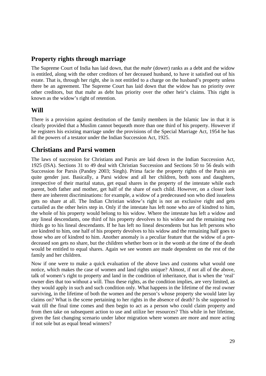### **Property rights through marriage**

The Supreme Court of India has laid down, that the *mahr* (dower) ranks as a debt and the widow is entitled, along with the other creditors of her deceased husband, to have it satisfied out of his estate. That is, through her right, she is not entitled to a charge on the husband's property unless there be an agreement. The Supreme Court has laid down that the widow has no priority over other creditors, but that mahr as debt has priority over the other heir's claims. This right is known as the widow's right of retention.

#### **Will**

There is a provision against destitution of the family members in the Islamic law in that it is clearly provided that a Muslim cannot bequeath more than one third of his property. However if he registers his existing marriage under the provisions of the Special Marriage Act, 1954 he has all the powers of a testator under the Indian Succession Act, 1925.

### **Christians and Parsi women**

The laws of succession for Christians and Parsis are laid down in the Indian Succession Act, 1925 (ISA). Sections 31 to 49 deal with Christian Succession and Sections 50 to 56 deals with Succession for Parsis (Pandey 2003; Singh). Prima facie the property rights of the Parsis are quite gender just. Basically, a Parsi widow and all her children, both sons and daughters, irrespective of their marital status, get equal shares in the property of the intestate while each parent, both father and mother, get half of the share of each child. However, on a closer look there are inherent discriminations: for example, a widow of a predeceased son who died issueless gets no share at all. The Indian Christian widow's right is not an exclusive right and gets curtailed as the other heirs step in. Only if the intestate has left none who are of kindred to him, the whole of his property would belong to his widow. Where the intestate has left a widow and any lineal descendants, one third of his property devolves to his widow and the remaining two thirds go to his lineal descendants. If he has left no lineal descendents but has left persons who are kindred to him, one half of his property devolves to his widow and the remaining half goes to those who are of kindred to him. Another anomaly is a peculiar feature that the widow of a predeceased son gets no share, but the children whether born or in the womb at the time of the death would be entitled to equal shares. Again we see women are made dependent on the rest of the family and her children.

Now if one were to make a quick evaluation of the above laws and customs what would one notice, which makes the case of women and land rights unique? Almost, if not all of the above, talk of women's right to property and land in the condition of inheritance, that is when the 'real' owner dies that too without a will. Thus these rights, as the condition implies, are very limited, as they would apply in such and such condition only. What happens in the lifetime of the real owner surviving, in the lifetime of both the women and the person's whose property she would later lay claims on? What is the scene pertaining to her rights in the absence of death? Is she supposed to wait till the final time comes and then begin to act as a person who could claim property and from then take on subsequent action to use and utilize her resources? This while in her lifetime, given the fast changing scenario under labor migration where women are more and more acting if not sole but as equal bread winners?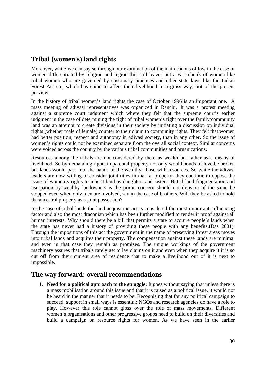## **Tribal (women's) land rights**

Moreover, while we can say so through our examination of the main canons of law in the case of women differentiated by religion and region this still leaves out a vast chunk of women like tribal women who are governed by customary practices and other state laws like the Indian Forest Act etc, which has come to affect their livelihood in a gross way, out of the present purview.

In the history of tribal women's land rights the case of October 1996 is an important one. A mass meeting of adivasi representatives was organized in Ranchi. |It was a protest meeting against a supreme court judgment which where they felt that the supreme court's earlier judgment in the case of determining the right of tribal women's right over the family/community land was an attempt to create divisions in their society by initiating a discussion on individual rights (whether male of female) counter to their claim to community rights. They felt that women had better position, respect and autonomy in adivasi society, than in any other. So the issue of women's rights could not be examined separate from the overall social context. Similar concerns were voiced across the country by the various tribal communities and organizations.

Resources among the tribals are not considered by them as wealth but rather as a means of livelihood. So by demanding rights in parental property not only would bonds of love be broken but lands would pass into the hands of the wealthy, those with resources. So while the adivasi leaders are now willing to consider joint titles in marital property, they continue to oppose the issue of women's rights to inherit land as daughters and sisters. But if land fragmentation and usurpation by wealthy landowners is the prime concern should not division of the same be stopped even when only men are involved, say in the case of brothers. Will they be asked to hold the ancestral property as a joint possession?

In the case of tribal lands the land acquisition act is considered the most important influencing factor and also the most draconian which has been further modified to render it proof against all human interests. Why should there be a bill that permits a state to acquire people's lands when the state has never had a history of providing these people with any benefits.(Das 2001). Through the impositions of this act the government in the name of preserving forest areas moves into tribal lands and acquires their property. The compensation against these lands are minimal and even in that case they remain as promises. The unique workings of the government machinery assures that tribals rarely get to lay claims on it and even when they acquire it it is so cut off from their current area of residence that to make a livelihood out of it is next to impossible.

## **The way forward: overall recommendations**

1. **Need for a political approach to the struggle:** It goes without saying that unless there is a mass mobilisation around this issue and that it is raised as a political issue, it would not be heard in the manner that it needs to be. Recognising that for any political campaign to succeed, support in small ways is essential; NGOs and research agencies do have a role to play. However this role cannot gloss over the role of mass movements. Different women's organisations and other progressive groups need to build on their diversities and build a campaign on resource rights for women. As we have seen in the earlier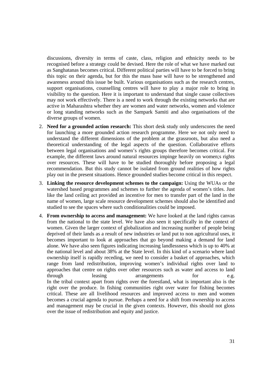discussions, diversity in terms of caste, class, religion and ethnicity needs to be recognised before a strategy could be devised. Here the role of what we have marked out as Sanghatanas becomes critical. Different political parties will have to be forced to bring this topic on their agenda, but for this the mass base will have to be strengthened and awareness around this issue be built. Various organisations such as the research centres, support organisations, counselling centres will have to play a major role to bring in visibility to the question. Here it is important to understand that single cause collectives may not work effectively. There is a need to work through the existing networks that are active in Maharashtra whether they are women and water networks, women and violence or long standing networks such as the Sampark Samiti and also organisations of the diverse groups of women.

- 2. **Need for a grounded action research:** This short desk study only underscores the need for launching a more grounded action research programme. Here we not only need to understand the different dimensions of the problem at the grassroots, but also need a theoretical understanding of the legal aspects of the question. Collaborative efforts between legal organisations and women's rights groups therefore becomes critical. For example, the different laws around natural resources impinge heavily on women;s rights over resources. These will have to be studied thoroughly before proposing a legal recommendation. But this study cannot be isolated from ground realities of how rights play out in the present situations. Hence grounded studies become critical in this respect.
- 3. **Linking the resource development schemes to the campaign:** Using the WUAs or the watershed based programmes and schemes to further the agenda of women's titles. Just like the land ceiling act provided an incentive for men to transfer part of the land in the name of women, large scale resource development schemes should also be identified and studied to see the spaces where such conditionalities could be imposed.
- 4. **From ownership to access and management:** We have looked at the land rights canvas from the national to the state level. We have also seen it specifically in the context of women. Given the larger context of globalization and increasing number of people being deprived of their lands as a result of new industries or land put to non agricultural uses, it becomes important to look at approaches that go beyond making a demand for land alone. We have also seen figures indicating increasing landlessness which is up to 40% at the national level and about 38% at the State level. In this kind of a scenario where land ownership itself is rapidly receding, we need to consider a basket of approaches, which range from land redistribution, improving women's individual rights over land to approaches that centre on rights over other resources such as water and access to land through leasing arrangements for e.g. In the tribal context apart from rights over the forestland, what is important also is the right over the produce. In fishing communities right over water for fishing becomes critical. These are all livelihood resources and improved access to men and women becomes a crucial agenda to pursue. Perhaps a need for a shift from ownership to access and management may be crucial in the given contexts. However, this should not gloss over the issue of redistribution and equity and justice.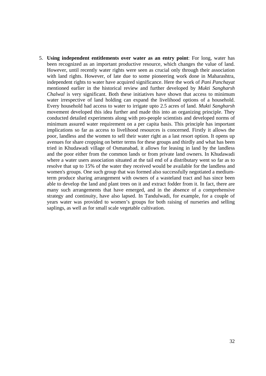5. **Using independent entitlements over water as an entry point**: For long, water has been recognized as an important productive resource, which changes the value of land. However, until recently water rights were seen as crucial only through their association with land rights. However, of late due to some pioneering work done in Maharashtra, independent rights to water have acquired significance. Here the work of *Pani Panchayat* mentioned earlier in the historical review and further developed by *Mukti Sangharsh Chalwal* is very significant. Both these initiatives have shown that access to minimum water irrespective of land holding can expand the livelihood options of a household. Every household had access to water to irrigate upto 2.5 acres of land. *Mukti Sangharsh* movement developed this idea further and made this into an organizing principle. They conducted detailed experiments along with pro-people scientists and developed norms of minimum assured water requirement on a per capita basis. This principle has important implications so far as access to livelihood resources is concerned. Firstly it allows the poor, landless and the women to sell their water right as a last resort option. It opens up avenues for share cropping on better terms for these groups and thirdly and what has been tried in Khudawadi village of Osmanabad, it allows for leasing in land by the landless and the poor either from the common lands or from private land owners. In Khudawadi where a water users association situated at the tail end of a distributary went so far as to resolve that up to 15% of the water they received would be available for the landless and women's groups. One such group that was formed also successfully negotiated a mediumterm produce sharing arrangement with owners of a wasteland tract and has since been able to develop the land and plant trees on it and extract fodder from it. In fact, there are many such arrangements that have emerged, and in the absence of a comprehensive strategy and continuity, have also lapsed. In Tandulwadi, for example, for a couple of years water was provided to women's groups for both raising of nurseries and selling saplings, as well as for small scale vegetable cultivation.